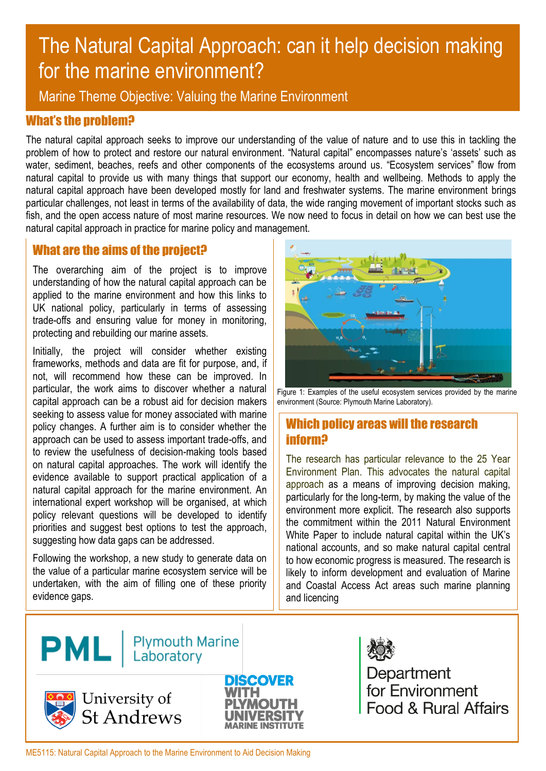# The Natural Capital Approach: can it help decision making for the marine environment?

Marine Theme Objective: Valuing the Marine Environment

### What's the problem?

The natural capital approach seeks to improve our understanding of the value of nature and to use this in tackling the problem of how to protect and restore our natural environment. "Natural capital" encompasses nature's 'assets' such as water, sediment, beaches, reefs and other components of the ecosystems around us. "Ecosystem services" flow from natural capital to provide us with many things that support our economy, health and wellbeing. Methods to apply the natural capital approach have been developed mostly for land and freshwater systems. The marine environment brings particular challenges, not least in terms of the availability of data, the wide ranging movement of important stocks such as fish, and the open access nature of most marine resources. We now need to focus in detail on how we can best use the natural capital approach in practice for marine policy and management.

#### What are the aims of the project?

The overarching aim of the project is to improve understanding of how the natural capital approach can be applied to the marine environment and how this links to UK national policy, particularly in terms of assessing trade-offs and ensuring value for money in monitoring, protecting and rebuilding our marine assets.

Initially, the project will consider whether existing frameworks, methods and data are fit for purpose, and, if not, will recommend how these can be improved. In particular, the work aims to discover whether a natural capital approach can be a robust aid for decision makers seeking to assess value for money associated with marine policy changes. A further aim is to consider whether the approach can be used to assess important trade-offs, and to review the usefulness of decision-making tools based on natural capital approaches. The work will identify the evidence available to support practical application of a natural capital approach for the marine environment. An international expert workshop will be organised, at which policy relevant questions will be developed to identify priorities and suggest best options to test the approach, suggesting how data gaps can be addressed.

Following the workshop, a new study to generate data on the value of a particular marine ecosystem service will be undertaken, with the aim of filling one of these priority evidence gaps.



Figure 1: Examples of the useful ecosystem services provided by the marine environment (Source: Plymouth Marine Laboratory).

## Which policy areas will the research inform?

The research has particular relevance to the 25 Year Environment Plan. This advocates the natural capital approach as a means of improving decision making, particularly for the long-term, by making the value of the environment more explicit. The research also supports the commitment within the 2011 Natural Environment White Paper to include natural capital within the UK's national accounts, and so make natural capital central to how economic progress is measured. The research is likely to inform development and evaluation of Marine and Coastal Access Act areas such marine planning and licencing

**PML** | Plymouth Marine







Department<br>for Environment Food & Rural Affairs